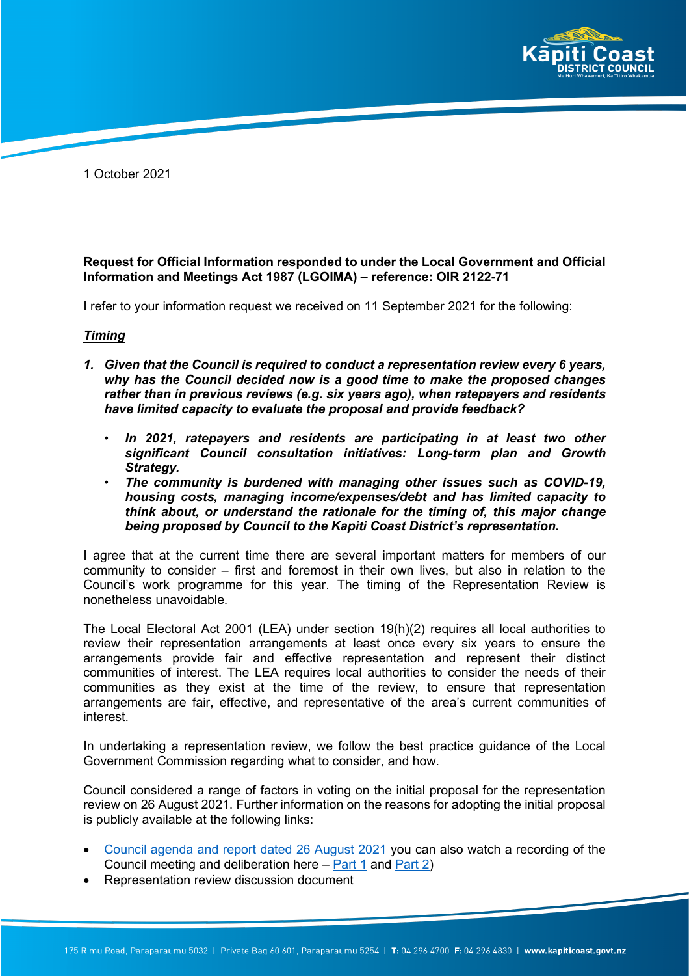

1 October 2021

## **Request for Official Information responded to under the Local Government and Official Information and Meetings Act 1987 (LGOIMA) – reference: OIR 2122-71**

I refer to your information request we received on 11 September 2021 for the following:

#### *Timing*

- *1. Given that the Council is required to conduct a representation review every 6 years, why has the Council decided now is a good time to make the proposed changes rather than in previous reviews (e.g. six years ago), when ratepayers and residents have limited capacity to evaluate the proposal and provide feedback?*
	- *In 2021, ratepayers and residents are participating in at least two other significant Council consultation initiatives: Long-term plan and Growth Strategy.*
	- *The community is burdened with managing other issues such as COVID-19, housing costs, managing income/expenses/debt and has limited capacity to think about, or understand the rationale for the timing of, this major change being proposed by Council to the Kapiti Coast District's representation.*

I agree that at the current time there are several important matters for members of our community to consider – first and foremost in their own lives, but also in relation to the Council's work programme for this year. The timing of the Representation Review is nonetheless unavoidable.

The Local Electoral Act 2001 (LEA) under section 19(h)(2) requires all local authorities to review their representation arrangements at least once every six years to ensure the arrangements provide fair and effective representation and represent their distinct communities of interest. The LEA requires local authorities to consider the needs of their communities as they exist at the time of the review, to ensure that representation arrangements are fair, effective, and representative of the area's current communities of interest.

In undertaking a representation review, we follow the best practice guidance of the Local Government Commission regarding what to consider, and how.

Council considered a range of factors in voting on the initial proposal for the representation review on 26 August 2021. Further information on the reasons for adopting the initial proposal is publicly available at the following links:

- [Council agenda and report dated 26 August 2021](https://kapiticoast.infocouncil.biz/Open/2021/08/CO_20210826_AGN_2304_AT_WEB.htm) you can also watch a recording of the Council meeting and deliberation here – [Part 1](https://www.youtube.com/watch?v=Lumxwdax0Oc) and [Part 2\)](https://www.youtube.com/watch?v=Q7iStfpjuOg)
- Representation review discussion document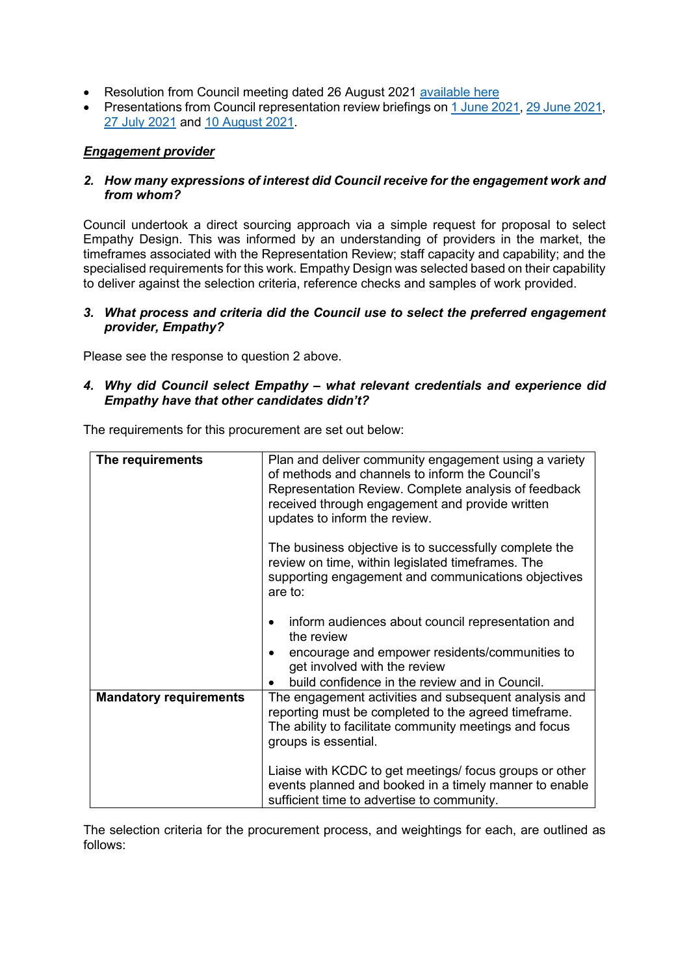- Resolution from Council meeting dated 26 August 2021 [available here](https://www.kapiticoast.govt.nz/media/40378/council-resolution-rep-review-initial-proposal-26-aug-2021.pdf)
- Presentations from Council representation review briefings on [1 June 2021,](https://www.kapiticoast.govt.nz/media/40270/council-briefing-presentation-01-jun-21.pdf) [29 June 2021,](https://www.kapiticoast.govt.nz/media/40273/council-briefing-presentation-29-jun-21.pdf) [27 July 2021](https://www.kapiticoast.govt.nz/media/40272/council-briefing-presentation-27-jul-21.pdf) and [10 August 2021.](https://www.kapiticoast.govt.nz/media/40271/council-briefing-presentation-10-aug-21.pdf)

## *Engagement provider*

### *2. How many expressions of interest did Council receive for the engagement work and from whom?*

Council undertook a direct sourcing approach via a simple request for proposal to select Empathy Design. This was informed by an understanding of providers in the market, the timeframes associated with the Representation Review; staff capacity and capability; and the specialised requirements for this work. Empathy Design was selected based on their capability to deliver against the selection criteria, reference checks and samples of work provided.

#### *3. What process and criteria did the Council use to select the preferred engagement provider, Empathy?*

Please see the response to question 2 above.

### *4. Why did Council select Empathy – what relevant credentials and experience did Empathy have that other candidates didn't?*

|  |  |  | The requirements for this procurement are set out below: |
|--|--|--|----------------------------------------------------------|
|--|--|--|----------------------------------------------------------|

| The requirements              | Plan and deliver community engagement using a variety<br>of methods and channels to inform the Council's<br>Representation Review. Complete analysis of feedback<br>received through engagement and provide written<br>updates to inform the review. |  |
|-------------------------------|------------------------------------------------------------------------------------------------------------------------------------------------------------------------------------------------------------------------------------------------------|--|
|                               | The business objective is to successfully complete the<br>review on time, within legislated timeframes. The<br>supporting engagement and communications objectives<br>are to:                                                                        |  |
|                               | inform audiences about council representation and<br>the review<br>encourage and empower residents/communities to<br>get involved with the review<br>build confidence in the review and in Council.                                                  |  |
| <b>Mandatory requirements</b> | The engagement activities and subsequent analysis and<br>reporting must be completed to the agreed timeframe.<br>The ability to facilitate community meetings and focus<br>groups is essential.                                                      |  |
|                               | Liaise with KCDC to get meetings/ focus groups or other<br>events planned and booked in a timely manner to enable<br>sufficient time to advertise to community.                                                                                      |  |

The selection criteria for the procurement process, and weightings for each, are outlined as follows: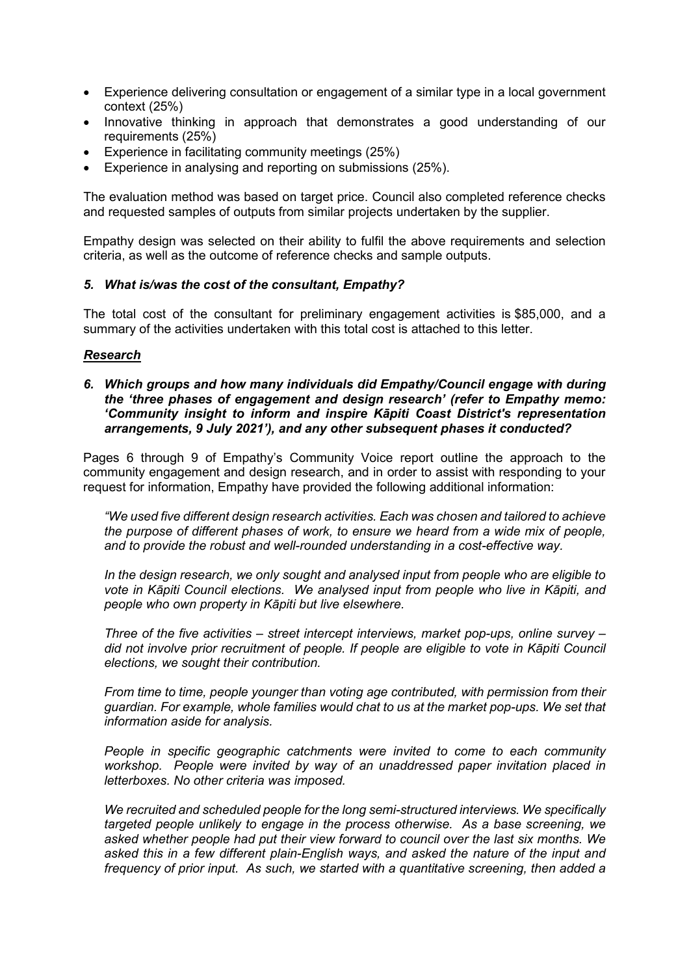- Experience delivering consultation or engagement of a similar type in a local government context (25%)
- Innovative thinking in approach that demonstrates a good understanding of our requirements (25%)
- Experience in facilitating community meetings (25%)
- Experience in analysing and reporting on submissions (25%).

The evaluation method was based on target price. Council also completed reference checks and requested samples of outputs from similar projects undertaken by the supplier.

Empathy design was selected on their ability to fulfil the above requirements and selection criteria, as well as the outcome of reference checks and sample outputs.

#### *5. What is/was the cost of the consultant, Empathy?*

The total cost of the consultant for preliminary engagement activities is \$85,000, and a summary of the activities undertaken with this total cost is attached to this letter.

#### *Research*

#### *6. Which groups and how many individuals did Empathy/Council engage with during the 'three phases of engagement and design research' (refer to Empathy memo: 'Community insight to inform and inspire Kāpiti Coast District's representation arrangements, 9 July 2021'), and any other subsequent phases it conducted?*

Pages 6 through 9 of Empathy's Community Voice report outline the approach to the community engagement and design research, and in order to assist with responding to your request for information, Empathy have provided the following additional information:

*"We used five different design research activities. Each was chosen and tailored to achieve the purpose of different phases of work, to ensure we heard from a wide mix of people, and to provide the robust and well-rounded understanding in a cost-effective way.*

*In the design research, we only sought and analysed input from people who are eligible to vote in Kāpiti Council elections. We analysed input from people who live in Kāpiti, and people who own property in Kāpiti but live elsewhere.*

*Three of the five activities – street intercept interviews, market pop-ups, online survey – did not involve prior recruitment of people. If people are eligible to vote in Kāpiti Council elections, we sought their contribution.*

*From time to time, people younger than voting age contributed, with permission from their guardian. For example, whole families would chat to us at the market pop-ups. We set that information aside for analysis.*

*People in specific geographic catchments were invited to come to each community workshop. People were invited by way of an unaddressed paper invitation placed in letterboxes. No other criteria was imposed.* 

*We recruited and scheduled people for the long semi-structured interviews. We specifically targeted people unlikely to engage in the process otherwise. As a base screening, we asked whether people had put their view forward to council over the last six months. We asked this in a few different plain-English ways, and asked the nature of the input and frequency of prior input. As such, we started with a quantitative screening, then added a*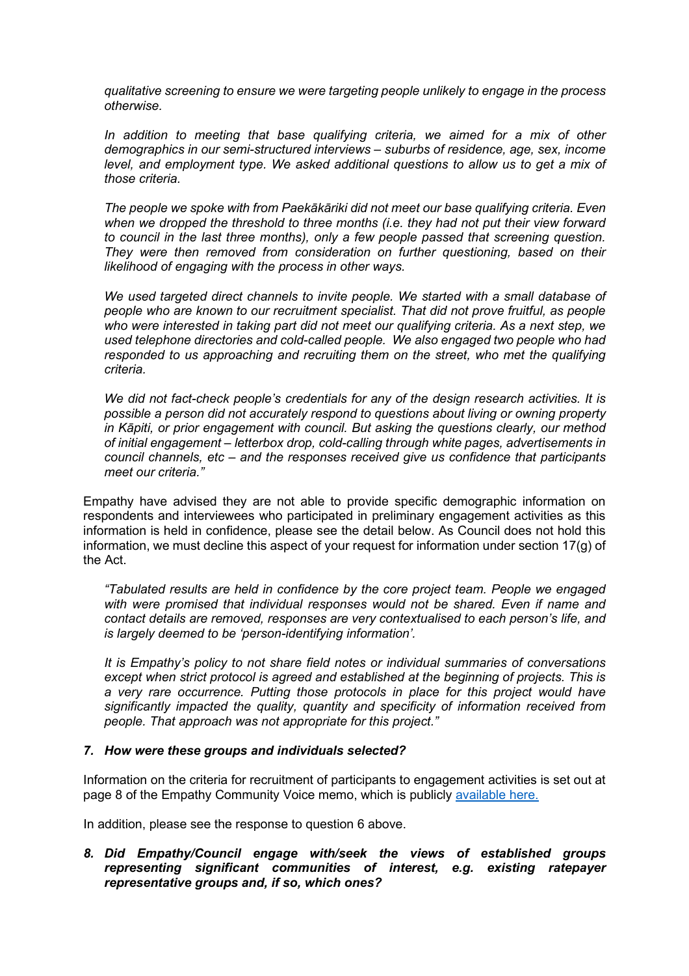*qualitative screening to ensure we were targeting people unlikely to engage in the process otherwise.*

*In addition to meeting that base qualifying criteria, we aimed for a mix of other demographics in our semi-structured interviews – suburbs of residence, age, sex, income level, and employment type. We asked additional questions to allow us to get a mix of those criteria.*

*The people we spoke with from Paekākāriki did not meet our base qualifying criteria. Even when we dropped the threshold to three months (i.e. they had not put their view forward to council in the last three months), only a few people passed that screening question. They were then removed from consideration on further questioning, based on their likelihood of engaging with the process in other ways.*

*We used targeted direct channels to invite people. We started with a small database of people who are known to our recruitment specialist. That did not prove fruitful, as people who were interested in taking part did not meet our qualifying criteria. As a next step, we used telephone directories and cold-called people. We also engaged two people who had responded to us approaching and recruiting them on the street, who met the qualifying criteria.*

*We did not fact-check people's credentials for any of the design research activities. It is possible a person did not accurately respond to questions about living or owning property in Kāpiti, or prior engagement with council. But asking the questions clearly, our method of initial engagement – letterbox drop, cold-calling through white pages, advertisements in council channels, etc – and the responses received give us confidence that participants meet our criteria."*

Empathy have advised they are not able to provide specific demographic information on respondents and interviewees who participated in preliminary engagement activities as this information is held in confidence, please see the detail below. As Council does not hold this information, we must decline this aspect of your request for information under section 17(g) of the Act.

*"Tabulated results are held in confidence by the core project team. People we engaged with were promised that individual responses would not be shared. Even if name and contact details are removed, responses are very contextualised to each person's life, and is largely deemed to be 'person-identifying information'.*

*It is Empathy's policy to not share field notes or individual summaries of conversations except when strict protocol is agreed and established at the beginning of projects. This is a very rare occurrence. Putting those protocols in place for this project would have significantly impacted the quality, quantity and specificity of information received from people. That approach was not appropriate for this project."*

#### *7. How were these groups and individuals selected?*

Information on the criteria for recruitment of participants to engagement activities is set out at page 8 of the Empathy Community Voice memo, which is publicly [available here.](https://www.kapiticoast.govt.nz/media/40208/community-voice-for-representation-review-2021.pdf)

In addition, please see the response to question 6 above.

## *8. Did Empathy/Council engage with/seek the views of established groups representing significant communities of interest, e.g. existing ratepayer representative groups and, if so, which ones?*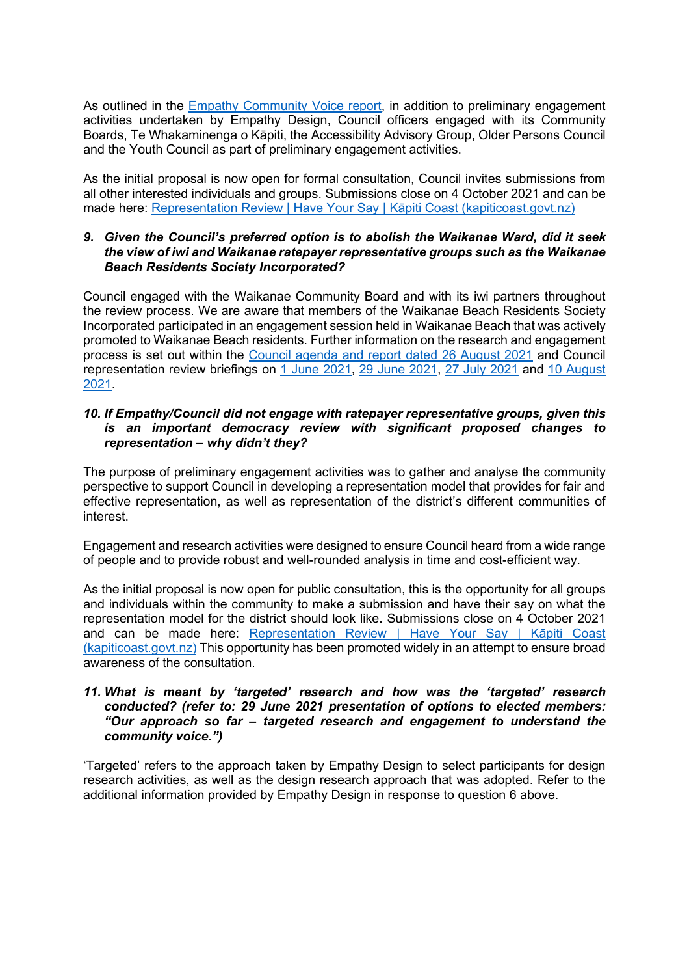As outlined in the **Empathy Community Voice report**, in addition to preliminary engagement activities undertaken by Empathy Design, Council officers engaged with its Community Boards, Te Whakaminenga o Kāpiti, the Accessibility Advisory Group, Older Persons Council and the Youth Council as part of preliminary engagement activities.

As the initial proposal is now open for formal consultation, Council invites submissions from all other interested individuals and groups. Submissions close on 4 October 2021 and can be made here: [Representation Review | Have Your Say | Kāpiti Coast \(kapiticoast.govt.nz\)](https://haveyoursay.kapiticoast.govt.nz/representation-review)

#### *9. Given the Council's preferred option is to abolish the Waikanae Ward, did it seek the view of iwi and Waikanae ratepayer representative groups such as the Waikanae Beach Residents Society Incorporated?*

Council engaged with the Waikanae Community Board and with its iwi partners throughout the review process. We are aware that members of the Waikanae Beach Residents Society Incorporated participated in an engagement session held in Waikanae Beach that was actively promoted to Waikanae Beach residents. Further information on the research and engagement process is set out within the [Council agenda and report dated 26 August 2021](https://kapiticoast.infocouncil.biz/Open/2021/08/CO_20210826_AGN_2304_AT_WEB.htm) and Council representation review briefings on [1 June 2021,](https://www.kapiticoast.govt.nz/media/40270/council-briefing-presentation-01-jun-21.pdf) [29 June 2021,](https://www.kapiticoast.govt.nz/media/40273/council-briefing-presentation-29-jun-21.pdf) [27 July 2021](https://www.kapiticoast.govt.nz/media/40272/council-briefing-presentation-27-jul-21.pdf) and [10 August](https://www.kapiticoast.govt.nz/media/40271/council-briefing-presentation-10-aug-21.pdf)  [2021.](https://www.kapiticoast.govt.nz/media/40271/council-briefing-presentation-10-aug-21.pdf)

#### *10. If Empathy/Council did not engage with ratepayer representative groups, given this is an important democracy review with significant proposed changes to representation – why didn't they?*

The purpose of preliminary engagement activities was to gather and analyse the community perspective to support Council in developing a representation model that provides for fair and effective representation, as well as representation of the district's different communities of interest.

Engagement and research activities were designed to ensure Council heard from a wide range of people and to provide robust and well-rounded analysis in time and cost-efficient way.

As the initial proposal is now open for public consultation, this is the opportunity for all groups and individuals within the community to make a submission and have their say on what the representation model for the district should look like. Submissions close on 4 October 2021 and can be made here: [Representation Review | Have Your Say | Kāpiti Coast](https://haveyoursay.kapiticoast.govt.nz/representation-review)  [\(kapiticoast.govt.nz\)](https://haveyoursay.kapiticoast.govt.nz/representation-review) This opportunity has been promoted widely in an attempt to ensure broad awareness of the consultation.

### *11. What is meant by 'targeted' research and how was the 'targeted' research conducted? (refer to: 29 June 2021 presentation of options to elected members: "Our approach so far – targeted research and engagement to understand the community voice.")*

'Targeted' refers to the approach taken by Empathy Design to select participants for design research activities, as well as the design research approach that was adopted. Refer to the additional information provided by Empathy Design in response to question 6 above.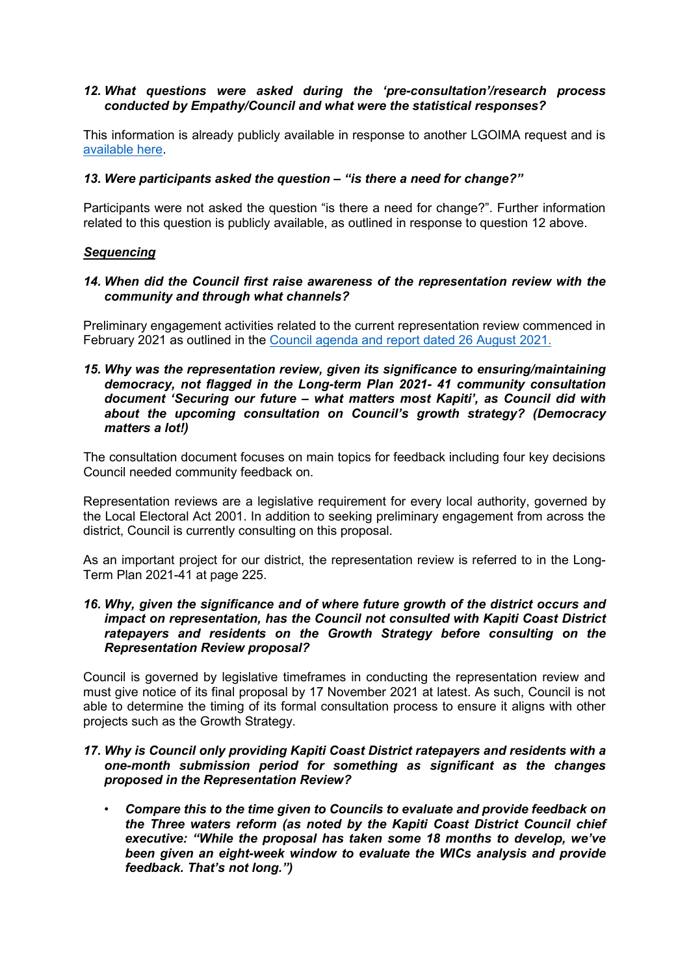#### *12. What questions were asked during the 'pre-consultation'/research process conducted by Empathy/Council and what were the statistical responses?*

This information is already publicly available in response to another LGOIMA request and is [available here.](https://www.kapiticoast.govt.nz/media/40403/2122-57-signed-response-redacted.pdf)

#### *13. Were participants asked the question – "is there a need for change?"*

Participants were not asked the question "is there a need for change?". Further information related to this question is publicly available, as outlined in response to question 12 above.

#### *Sequencing*

#### *14. When did the Council first raise awareness of the representation review with the community and through what channels?*

Preliminary engagement activities related to the current representation review commenced in February 2021 as outlined in the [Council agenda and report dated 26 August 2021.](https://kapiticoast.infocouncil.biz/Open/2021/08/CO_20210826_AGN_2304_AT_WEB.htm)

*15. Why was the representation review, given its significance to ensuring/maintaining democracy, not flagged in the Long-term Plan 2021- 41 community consultation document 'Securing our future – what matters most Kapiti', as Council did with about the upcoming consultation on Council's growth strategy? (Democracy matters a lot!)*

The consultation document focuses on main topics for feedback including four key decisions Council needed community feedback on.

Representation reviews are a legislative requirement for every local authority, governed by the Local Electoral Act 2001. In addition to seeking preliminary engagement from across the district, Council is currently consulting on this proposal.

As an important project for our district, the representation review is referred to in the Long-Term Plan 2021-41 at page 225.

#### *16. Why, given the significance and of where future growth of the district occurs and impact on representation, has the Council not consulted with Kapiti Coast District ratepayers and residents on the Growth Strategy before consulting on the Representation Review proposal?*

Council is governed by legislative timeframes in conducting the representation review and must give notice of its final proposal by 17 November 2021 at latest. As such, Council is not able to determine the timing of its formal consultation process to ensure it aligns with other projects such as the Growth Strategy.

#### *17. Why is Council only providing Kapiti Coast District ratepayers and residents with a one-month submission period for something as significant as the changes proposed in the Representation Review?*

• *Compare this to the time given to Councils to evaluate and provide feedback on the Three waters reform (as noted by the Kapiti Coast District Council chief executive: "While the proposal has taken some 18 months to develop, we've been given an eight-week window to evaluate the WICs analysis and provide feedback. That's not long.")*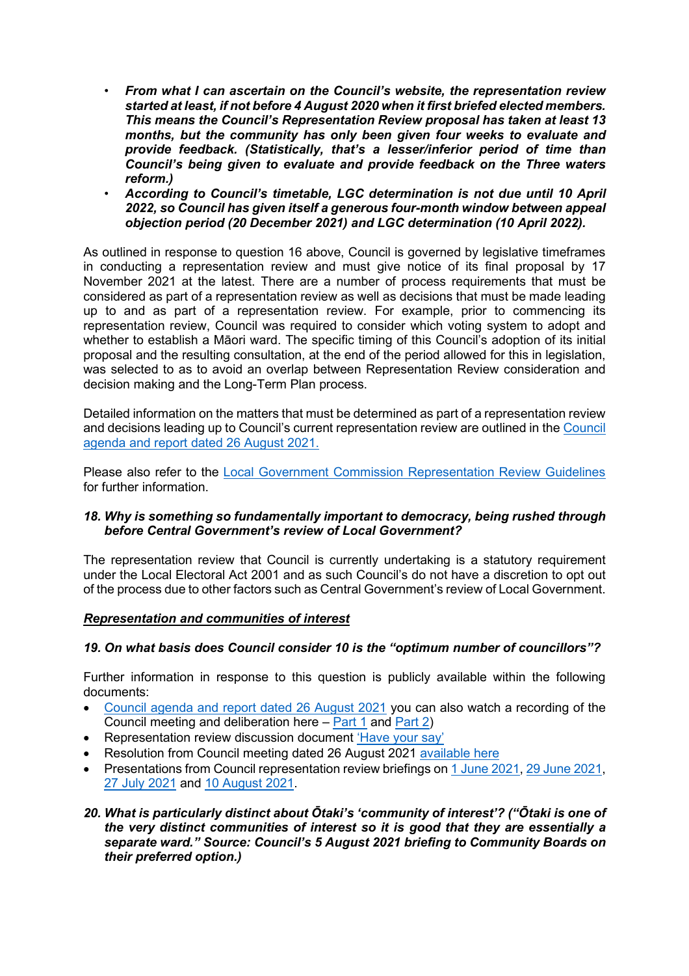- *From what I can ascertain on the Council's website, the representation review started at least, if not before 4 August 2020 when it first briefed elected members. This means the Council's Representation Review proposal has taken at least 13 months, but the community has only been given four weeks to evaluate and provide feedback. (Statistically, that's a lesser/inferior period of time than Council's being given to evaluate and provide feedback on the Three waters reform.)*
- *According to Council's timetable, LGC determination is not due until 10 April 2022, so Council has given itself a generous four-month window between appeal objection period (20 December 2021) and LGC determination (10 April 2022).*

As outlined in response to question 16 above, Council is governed by legislative timeframes in conducting a representation review and must give notice of its final proposal by 17 November 2021 at the latest. There are a number of process requirements that must be considered as part of a representation review as well as decisions that must be made leading up to and as part of a representation review. For example, prior to commencing its representation review, Council was required to consider which voting system to adopt and whether to establish a Māori ward. The specific timing of this Council's adoption of its initial proposal and the resulting consultation, at the end of the period allowed for this in legislation, was selected to as to avoid an overlap between Representation Review consideration and decision making and the Long-Term Plan process.

Detailed information on the matters that must be determined as part of a representation review and decisions leading up to Council's current representation review are outlined in the [Council](https://kapiticoast.infocouncil.biz/Open/2021/08/CO_20210826_AGN_2304_AT_WEB.htm)  [agenda and report dated 26 August 2021.](https://kapiticoast.infocouncil.biz/Open/2021/08/CO_20210826_AGN_2304_AT_WEB.htm)

Please also refer to the [Local Government Commission Representation Review Guidelines](http://www.lgc.govt.nz/assets/Uploads/Representation-Review-Guidelines-2021.docx) for further information.

## *18. Why is something so fundamentally important to democracy, being rushed through before Central Government's review of Local Government?*

The representation review that Council is currently undertaking is a statutory requirement under the Local Electoral Act 2001 and as such Council's do not have a discretion to opt out of the process due to other factors such as Central Government's review of Local Government.

## *Representation and communities of interest*

# *19. On what basis does Council consider 10 is the "optimum number of councillors"?*

Further information in response to this question is publicly available within the following documents:

- [Council agenda and report dated 26 August 2021](https://kapiticoast.infocouncil.biz/Open/2021/08/CO_20210826_AGN_2304_AT_WEB.htm) you can also watch a recording of the Council meeting and deliberation here – [Part 1](https://www.youtube.com/watch?v=Lumxwdax0Oc) and [Part 2\)](https://www.youtube.com/watch?v=Q7iStfpjuOg)
- Representation review discussion document ['Have your say'](extension://ieepebpjnkhaiioojkepfniodjmjjihl/data/pdf.js/web/viewer.html?file=https%3A%2F%2Fehq-production-australia.s3.ap-southeast-2.amazonaws.com%2F21c51ef43d391ac5b48e0d49683108a115c07584%2Foriginal%2F1630548893%2F18fa191b6ac6592a173af94ed9ed10a7_Representation-review-fresh-look-local-democracy-booklet.pdf%3FX-Amz-Algorithm%3DAWS4-HMAC-SHA256%26X-Amz-Credential%3DAKIAIBJCUKKD4ZO4WUUA%252F20210915%252Fap-southeast-2%252Fs3%252Faws4_request%26X-Amz-Date%3D20210915T021241Z%26X-Amz-Expires%3D300%26X-Amz-SignedHeaders%3Dhost%26X-Amz-Signature%3Db7bccce5575c7eaf5e740a9cd5592ac7994276a6ed201fe3fe122f3004e01c24)
- Resolution from Council meeting dated 26 August 2021 [available here](https://www.kapiticoast.govt.nz/media/40378/council-resolution-rep-review-initial-proposal-26-aug-2021.pdf)
- Presentations from Council representation review briefings on [1 June 2021,](https://www.kapiticoast.govt.nz/media/40270/council-briefing-presentation-01-jun-21.pdf) [29 June 2021,](https://www.kapiticoast.govt.nz/media/40273/council-briefing-presentation-29-jun-21.pdf) [27 July 2021](https://www.kapiticoast.govt.nz/media/40272/council-briefing-presentation-27-jul-21.pdf) and [10 August 2021.](https://www.kapiticoast.govt.nz/media/40271/council-briefing-presentation-10-aug-21.pdf)
- *20. What is particularly distinct about Ōtaki's 'community of interest'? ("Ōtaki is one of the very distinct communities of interest so it is good that they are essentially a separate ward." Source: Council's 5 August 2021 briefing to Community Boards on their preferred option.)*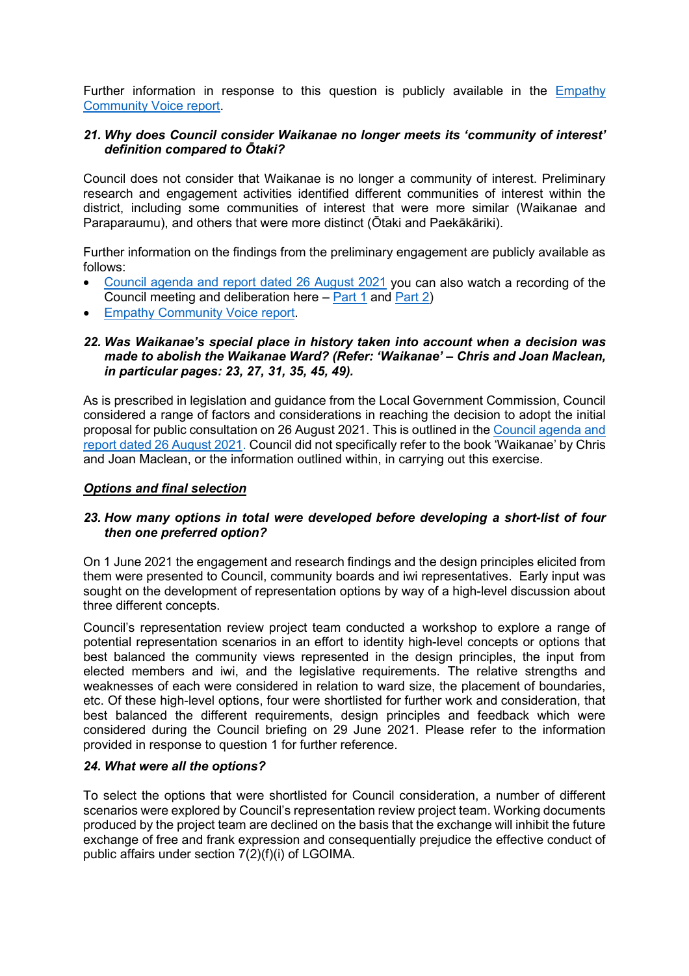Further information in response to this question is publicly available in the [Empathy](https://www.google.co.nz/url?sa=t&rct=j&q=&esrc=s&source=web&cd=&cad=rja&uact=8&ved=2ahUKEwjG17Cw6pPzAhW2yzgGHQsgBpUQFnoECAQQAQ&url=https%3A%2F%2Fwww.kapiticoast.govt.nz%2Fmedia%2F40208%2Fcommunity-voice-for-representation-review-2021.pdf&usg=AOvVaw2cBtkNO94Hpmn7_nsxst_J)  [Community Voice report.](https://www.google.co.nz/url?sa=t&rct=j&q=&esrc=s&source=web&cd=&cad=rja&uact=8&ved=2ahUKEwjG17Cw6pPzAhW2yzgGHQsgBpUQFnoECAQQAQ&url=https%3A%2F%2Fwww.kapiticoast.govt.nz%2Fmedia%2F40208%2Fcommunity-voice-for-representation-review-2021.pdf&usg=AOvVaw2cBtkNO94Hpmn7_nsxst_J)

### *21. Why does Council consider Waikanae no longer meets its 'community of interest' definition compared to Ōtaki?*

Council does not consider that Waikanae is no longer a community of interest. Preliminary research and engagement activities identified different communities of interest within the district, including some communities of interest that were more similar (Waikanae and Paraparaumu), and others that were more distinct (Ōtaki and Paekākāriki).

Further information on the findings from the preliminary engagement are publicly available as follows:

- [Council agenda and report dated 26 August 2021](https://kapiticoast.infocouncil.biz/Open/2021/08/CO_20210826_AGN_2304_AT_WEB.htm) you can also watch a recording of the Council meeting and deliberation here  $-$  [Part 1](https://www.youtube.com/watch?v=Lumxwdax0Oc) and [Part 2\)](https://www.youtube.com/watch?v=Q7iStfpjuOg)
- **[Empathy Community Voice report.](https://www.google.co.nz/url?sa=t&rct=j&q=&esrc=s&source=web&cd=&cad=rja&uact=8&ved=2ahUKEwjG17Cw6pPzAhW2yzgGHQsgBpUQFnoECAQQAQ&url=https%3A%2F%2Fwww.kapiticoast.govt.nz%2Fmedia%2F40208%2Fcommunity-voice-for-representation-review-2021.pdf&usg=AOvVaw2cBtkNO94Hpmn7_nsxst_J)**

#### *22. Was Waikanae's special place in history taken into account when a decision was made to abolish the Waikanae Ward? (Refer: 'Waikanae' – Chris and Joan Maclean, in particular pages: 23, 27, 31, 35, 45, 49).*

As is prescribed in legislation and guidance from the Local Government Commission, Council considered a range of factors and considerations in reaching the decision to adopt the initial proposal for public consultation on 26 August 2021. This is outlined in the [Council agenda and](https://kapiticoast.infocouncil.biz/Open/2021/08/CO_20210826_AGN_2304_AT_WEB.htm)  [report dated 26 August 2021.](https://kapiticoast.infocouncil.biz/Open/2021/08/CO_20210826_AGN_2304_AT_WEB.htm) Council did not specifically refer to the book 'Waikanae' by Chris and Joan Maclean, or the information outlined within, in carrying out this exercise.

### *Options and final selection*

## *23. How many options in total were developed before developing a short-list of four then one preferred option?*

On 1 June 2021 the engagement and research findings and the design principles elicited from them were presented to Council, community boards and iwi representatives. Early input was sought on the development of representation options by way of a high-level discussion about three different concepts.

Council's representation review project team conducted a workshop to explore a range of potential representation scenarios in an effort to identity high-level concepts or options that best balanced the community views represented in the design principles, the input from elected members and iwi, and the legislative requirements. The relative strengths and weaknesses of each were considered in relation to ward size, the placement of boundaries, etc. Of these high-level options, four were shortlisted for further work and consideration, that best balanced the different requirements, design principles and feedback which were considered during the Council briefing on 29 June 2021. Please refer to the information provided in response to question 1 for further reference.

#### *24. What were all the options?*

To select the options that were shortlisted for Council consideration, a number of different scenarios were explored by Council's representation review project team. Working documents produced by the project team are declined on the basis that the exchange will inhibit the future exchange of free and frank expression and consequentially prejudice the effective conduct of public affairs under section 7(2)(f)(i) of LGOIMA.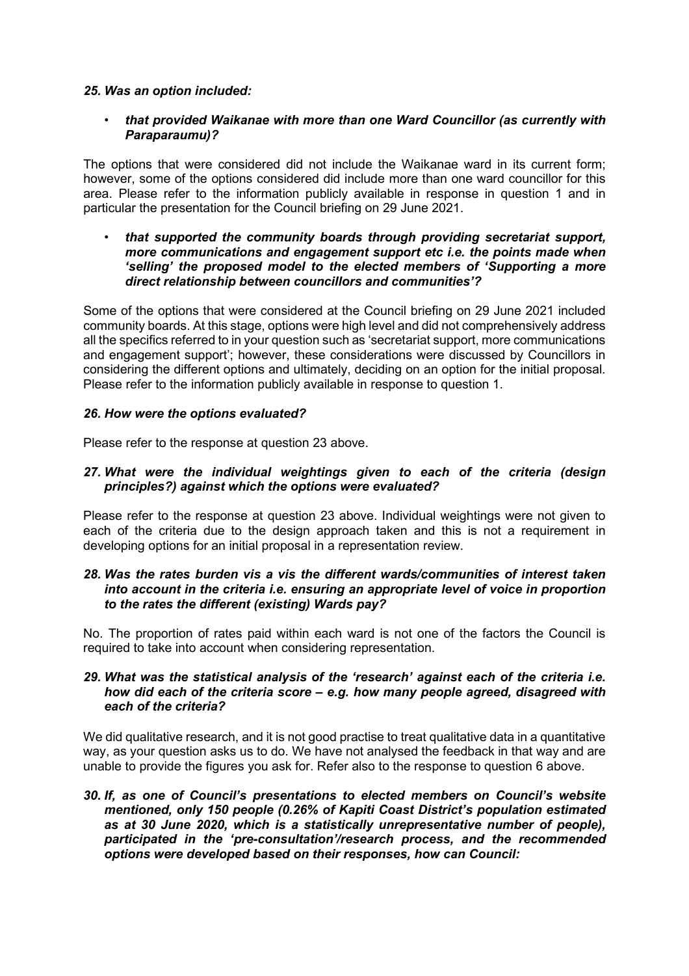#### *25. Was an option included:*

• *that provided Waikanae with more than one Ward Councillor (as currently with Paraparaumu)?*

The options that were considered did not include the Waikanae ward in its current form; however, some of the options considered did include more than one ward councillor for this area. Please refer to the information publicly available in response in question 1 and in particular the presentation for the Council briefing on 29 June 2021.

• *that supported the community boards through providing secretariat support, more communications and engagement support etc i.e. the points made when 'selling' the proposed model to the elected members of 'Supporting a more direct relationship between councillors and communities'?*

Some of the options that were considered at the Council briefing on 29 June 2021 included community boards. At this stage, options were high level and did not comprehensively address all the specifics referred to in your question such as 'secretariat support, more communications and engagement support'; however, these considerations were discussed by Councillors in considering the different options and ultimately, deciding on an option for the initial proposal. Please refer to the information publicly available in response to question 1.

#### *26. How were the options evaluated?*

Please refer to the response at question 23 above.

## *27. What were the individual weightings given to each of the criteria (design principles?) against which the options were evaluated?*

Please refer to the response at question 23 above. Individual weightings were not given to each of the criteria due to the design approach taken and this is not a requirement in developing options for an initial proposal in a representation review.

#### *28. Was the rates burden vis a vis the different wards/communities of interest taken into account in the criteria i.e. ensuring an appropriate level of voice in proportion to the rates the different (existing) Wards pay?*

No. The proportion of rates paid within each ward is not one of the factors the Council is required to take into account when considering representation.

#### *29. What was the statistical analysis of the 'research' against each of the criteria i.e. how did each of the criteria score – e.g. how many people agreed, disagreed with each of the criteria?*

We did qualitative research, and it is not good practise to treat qualitative data in a quantitative way, as your question asks us to do. We have not analysed the feedback in that way and are unable to provide the figures you ask for. Refer also to the response to question 6 above.

*30. If, as one of Council's presentations to elected members on Council's website mentioned, only 150 people (0.26% of Kapiti Coast District's population estimated as at 30 June 2020, which is a statistically unrepresentative number of people), participated in the 'pre-consultation'/research process, and the recommended options were developed based on their responses, how can Council:*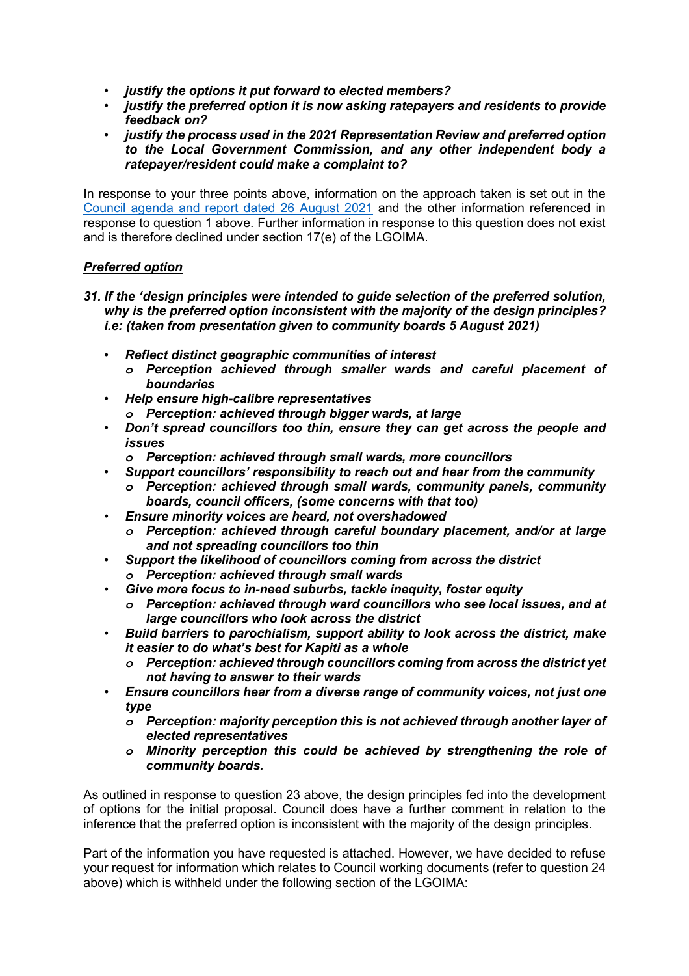- *justify the options it put forward to elected members?*
- *justify the preferred option it is now asking ratepayers and residents to provide feedback on?*
- *justify the process used in the 2021 Representation Review and preferred option to the Local Government Commission, and any other independent body a ratepayer/resident could make a complaint to?*

In response to your three points above, information on the approach taken is set out in the [Council agenda and report dated 26 August 2021](https://kapiticoast.infocouncil.biz/Open/2021/08/CO_20210826_AGN_2304_AT_WEB.htm) and the other information referenced in response to question 1 above. Further information in response to this question does not exist and is therefore declined under section 17(e) of the LGOIMA.

# *Preferred option*

- *31. If the 'design principles were intended to guide selection of the preferred solution, why is the preferred option inconsistent with the majority of the design principles? i.e: (taken from presentation given to community boards 5 August 2021)* 
	- *Reflect distinct geographic communities of interest*
		- *o Perception achieved through smaller wards and careful placement of boundaries*
	- *Help ensure high-calibre representatives*
		- *o Perception: achieved through bigger wards, at large*
	- *Don't spread councillors too thin, ensure they can get across the people and issues*
		- *o Perception: achieved through small wards, more councillors*
	- *Support councillors' responsibility to reach out and hear from the community*
		- *o Perception: achieved through small wards, community panels, community boards, council officers, (some concerns with that too)*
	- *Ensure minority voices are heard, not overshadowed*
		- *o Perception: achieved through careful boundary placement, and/or at large and not spreading councillors too thin*
	- *Support the likelihood of councillors coming from across the district*
		- *o Perception: achieved through small wards*
	- *Give more focus to in-need suburbs, tackle inequity, foster equity*
		- *o Perception: achieved through ward councillors who see local issues, and at large councillors who look across the district*
	- *Build barriers to parochialism, support ability to look across the district, make it easier to do what's best for Kapiti as a whole*
		- *o Perception: achieved through councillors coming from across the district yet not having to answer to their wards*
	- *Ensure councillors hear from a diverse range of community voices, not just one type*
		- *o Perception: majority perception this is not achieved through another layer of elected representatives*
		- *o Minority perception this could be achieved by strengthening the role of community boards.*

As outlined in response to question 23 above, the design principles fed into the development of options for the initial proposal. Council does have a further comment in relation to the inference that the preferred option is inconsistent with the majority of the design principles.

Part of the information you have requested is attached. However, we have decided to refuse your request for information which relates to Council working documents (refer to question 24 above) which is withheld under the following section of the LGOIMA: